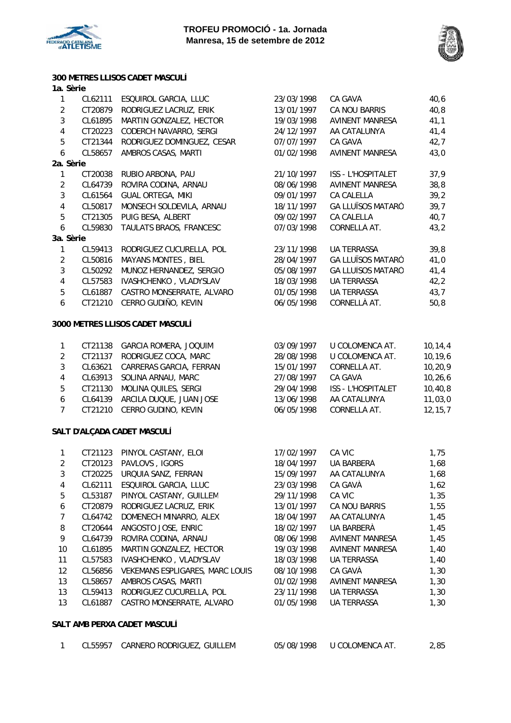



## **300 METRES LLISOS CADET MASCULÍ**

#### **1a. Sèrie**

| 1                       | CL62111 | ESQUIROL GARCIA, LLUC                  | 23/03/1998 | CA GAVÀ                  | 40,6      |
|-------------------------|---------|----------------------------------------|------------|--------------------------|-----------|
| $\sqrt{2}$              | CT20879 | RODRIGUEZ LACRUZ, ERIK                 | 13/01/1997 | CA NOU BARRIS            | 40, 8     |
| 3                       | CL61895 | MARTIN GONZALEZ, HECTOR                | 19/03/1998 | <b>AVINENT MANRESA</b>   | 41,1      |
| $\pmb{4}$               | CT20223 | CODERCH NAVARRO, SERGI                 | 24/12/1997 | AA CATALUNYA             | 41,4      |
| 5                       | CT21344 | RODRIGUEZ DOMINGUEZ, CESAR             | 07/07/1997 | CA GAVÀ                  | 42,7      |
| $\boldsymbol{6}$        | CL58657 | AMBROS CASAS, MARTI                    | 01/02/1998 | <b>AVINENT MANRESA</b>   | 43,0      |
| 2a. Sèrie               |         |                                        |            |                          |           |
| 1                       | CT20038 | RUBIO ARBONA, PAU                      | 21/10/1997 | ISS - L'HOSPITALET       | 37,9      |
| $\overline{2}$          | CL64739 | ROVIRA CODINA, ARNAU                   | 08/06/1998 | <b>AVINENT MANRESA</b>   | 38,8      |
| $\mathbf{3}$            | CL61564 | <b>GUAL ORTEGA, MIKI</b>               | 09/01/1997 | CA CALELLA               | 39,2      |
| $\pmb{4}$               | CL50817 | MONSECH SOLDEVILA, ARNAU               | 18/11/1997 | <b>GA LLUÏSOS MATARÓ</b> | 39,7      |
| 5                       | CT21305 | PUIG BESA, ALBERT                      | 09/02/1997 | CA CALELLA               | 40,7      |
| $\boldsymbol{6}$        | CL59830 | TAULATS BRAOS, FRANCESC                | 07/03/1998 | CORNELLÀ AT.             | 43,2      |
| 3a. Sèrie               |         |                                        |            |                          |           |
| $\mathbf{1}$            | CL59413 | RODRIGUEZ CUCURELLA, POL               | 23/11/1998 | <b>UA TERRASSA</b>       | 39,8      |
| $\overline{2}$          | CL50816 | MAYANS MONTES, BIEL                    | 28/04/1997 | <b>GA LLUÏSOS MATARÓ</b> | 41,0      |
| $\overline{3}$          | CL50292 | MUÑOZ HERNANDEZ, SERGIO                | 05/08/1997 | <b>GA LLUÏSOS MATARÓ</b> | 41,4      |
| $\overline{\mathbf{4}}$ | CL57583 | IVASHCHENKO, VLADYSLAV                 | 18/03/1998 | <b>UA TERRASSA</b>       | 42, 2     |
| 5                       | CL61887 | CASTRO MONSERRATE, ALVARO              | 01/05/1998 | UA TERRASSA              | 43,7      |
| $\boldsymbol{6}$        | CT21210 | CERRO GUDIÑO, KEVIN                    | 06/05/1998 | CORNELLÀ AT.             | 50, 8     |
|                         |         | 3000 METRES LLISOS CADET MASCULÍ       |            |                          |           |
| $\mathbf{1}$            | CT21138 | GARCIA ROMERA, JOQUIM                  | 03/09/1997 | U COLOMENCA AT.          | 10, 14, 4 |
| $\overline{2}$          | CT21137 | RODRIGUEZ COCA, MARC                   | 28/08/1998 | U COLOMENCA AT.          | 10, 19, 6 |
| $\mathfrak{Z}$          | CL63621 | CARRERAS GARCIA, FERRAN                | 15/01/1997 | CORNELLÀ AT.             | 10, 20, 9 |
| $\pmb{4}$               | CL63913 | SOLINA ARNAU, MARC                     | 27/08/1997 | CA GAVÀ                  | 10, 26, 6 |
| 5                       | CT21130 | MOLINA QUILES, SERGI                   | 29/04/1998 | ISS - L'HOSPITALET       | 10, 40, 8 |
| $\boldsymbol{6}$        | CL64139 | ARCILA DUQUE, JUAN JOSE                | 13/06/1998 | AA CATALUNYA             | 11,03,0   |
| $\overline{7}$          | CT21210 | CERRO GUDIÑO, KEVIN                    | 06/05/1998 | CORNELLÀ AT.             | 12, 15, 7 |
|                         |         | SALT D'ALÇADA CADET MASCULÍ            |            |                          |           |
| 1                       | CT21123 | PINYOL CASTANY, ELOI                   | 17/02/1997 | CA VIC                   | 1,75      |
| $\overline{2}$          | CT20123 | PAVLOVS, IGORS                         | 18/04/1997 | UA BARBERÀ               | 1,68      |
| $\sqrt{3}$              | CT20225 | URQUIA SANZ, FERRAN                    | 15/09/1997 | AA CATALUNYA             | 1,68      |
| 4                       | CL62111 | ESQUIROL GARCIA, LLUC                  | 23/03/1998 | CA GAVÀ                  | 1,62      |
| 5                       | CL53187 | PINYOL CASTANY, GUILLEM                | 29/11/1998 | CA VIC                   | 1,35      |
| 6                       | CT20879 | RODRIGUEZ LACRUZ, ERIK                 | 13/01/1997 | CA NOU BARRIS            | 1,55      |
| 7                       | CL64742 | DOMENECH MINARRO, ALEX                 | 18/04/1997 | AA CATALUNYA             | 1,45      |
| 8                       | CT20644 | ANGOSTO JOSE, ENRIC                    | 18/02/1997 | UA BARBERÀ               | 1,45      |
| 9                       | CL64739 | ROVIRA CODINA, ARNAU                   | 08/06/1998 | AVINENT MANRESA          | 1,45      |
| 10                      | CL61895 | MARTIN GONZALEZ, HECTOR                | 19/03/1998 | <b>AVINENT MANRESA</b>   | 1,40      |
| 11                      | CL57583 | IVASHCHENKO, VLADYSLAV                 | 18/03/1998 | <b>UA TERRASSA</b>       | 1,40      |
| 12                      | CL56856 | <b>VEKEMANS ESPLIGARES, MARC LOUIS</b> | 08/10/1998 | CA GAVÀ                  | 1,30      |
| 13                      | CL58657 | AMBROS CASAS, MARTI                    | 01/02/1998 | <b>AVINENT MANRESA</b>   | 1,30      |
| 13                      | CL59413 | RODRIGUEZ CUCURELLA, POL               | 23/11/1998 | <b>UA TERRASSA</b>       | 1,30      |

13 CL61887 CASTRO MONSERRATE, ALVARO 01/05/1998 UA TERRASSA 1,30

#### **SALT AMB PERXA CADET MASCULÍ**

|  | CL55957 | CARNERO RODRIGUEZ, GUILLEM | 05/08/1998 | U COLOMENCA AT. | 2,85 |
|--|---------|----------------------------|------------|-----------------|------|
|--|---------|----------------------------|------------|-----------------|------|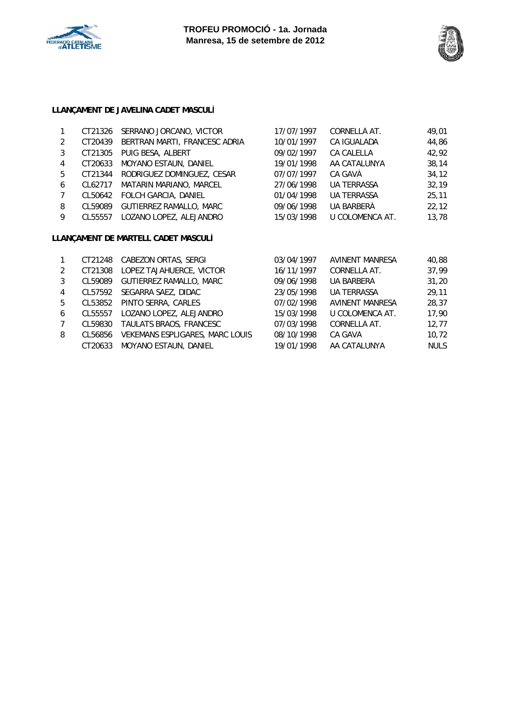



## **LLANÇAMENT DE JAVELINA CADET MASCULÍ**

|   | CT21326 | SERRANO JORCANO, VICTOR             | 17/07/1997 | CORNELLÀ AT.           | 49,01 |
|---|---------|-------------------------------------|------------|------------------------|-------|
| 2 | CT20439 | BERTRAN MARTI, FRANCESC ADRIA       | 10/01/1997 | CA IGUALADA            | 44,86 |
| 3 | CT21305 | PUIG BESA, ALBERT                   | 09/02/1997 | <b>CA CALELLA</b>      | 42,92 |
| 4 | CT20633 | <b>MOYANO ESTAUN, DANIEL</b>        | 19/01/1998 | AA CATALUNYA           | 38,14 |
| 5 | CT21344 | RODRIGUEZ DOMINGUEZ, CESAR          | 07/07/1997 | CA GAVÀ                | 34,12 |
| 6 | CL62717 | MATARIN MARIANO, MARCEL             | 27/06/1998 | <b>UA TERRASSA</b>     | 32,19 |
| 7 | CL50642 | FOLCH GARCIA, DANIEL                | 01/04/1998 | <b>UA TERRASSA</b>     | 25,11 |
| 8 | CL59089 | GUTIERREZ RAMALLO, MARC             | 09/06/1998 | UA BARBERA             | 22,12 |
| 9 | CL55557 | LOZANO LOPEZ, ALEJANDRO             | 15/03/1998 | U COLOMENCA AT.        | 13,78 |
|   |         | LLANÇAMENT DE MARTELL CADET MASCULÍ |            |                        |       |
|   | CT21248 | <b>CABEZON ORTAS, SERGI</b>         | 03/04/1997 | <b>AVINENT MANRESA</b> | 40.88 |

| 2              | CT21308 | LOPEZ TAJAHUERCE, VICTOR        | 16/11/1997 | CORNELLÀ AT.           | 37,99       |
|----------------|---------|---------------------------------|------------|------------------------|-------------|
| 3              | CL59089 | <b>GUTIERREZ RAMALLO, MARC</b>  | 09/06/1998 | UA BARBERÀ             | 31,20       |
| 4              |         | CL57592 SEGARRA SAEZ, DIDAC     | 23/05/1998 | <b>UA TERRASSA</b>     | 29,11       |
| 5              |         | CL53852 PINTO SERRA, CARLES     | 07/02/1998 | <b>AVINENT MANRESA</b> | 28,37       |
| 6              |         | CL55557 LOZANO LOPEZ, ALEJANDRO | 15/03/1998 | U COLOMENCA AT.        | 17,90       |
| $\overline{7}$ | CL59830 | TAULATS BRAOS, FRANCESC         | 07/03/1998 | CORNELLÀ AT.           | 12,77       |
| 8              | CL56856 | VEKEMANS ESPLIGARES, MARC LOUIS | 08/10/1998 | CA GAVÀ                | 10,72       |
|                |         | CT20633 MOYANO ESTAUN, DANIEL   | 19/01/1998 | AA CATALUNYA           | <b>NULS</b> |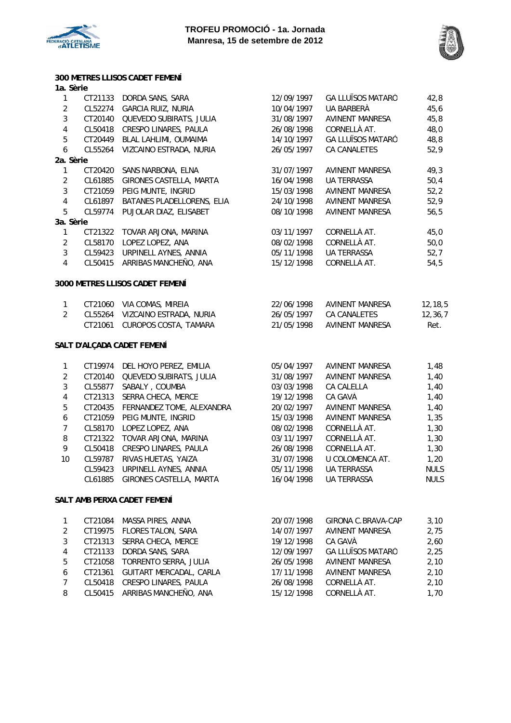



## **300 METRES LLISOS CADET FEMENÍ**

| 1a. Sèrie      |         |                                 |            |                          |           |
|----------------|---------|---------------------------------|------------|--------------------------|-----------|
| $\mathbf{1}$   | CT21133 | DORDA SANS, SARA                | 12/09/1997 | <b>GA LLUÏSOS MATARÓ</b> | 42,8      |
| $\overline{2}$ | CL52274 | <b>GARCIA RUIZ, NURIA</b>       | 10/04/1997 | UA BARBERÀ               | 45, 6     |
| $\mathfrak{Z}$ | CT20140 | QUEVEDO SUBIRATS, JULIA         | 31/08/1997 | <b>AVINENT MANRESA</b>   | 45,8      |
| $\overline{4}$ | CL50418 | CRESPO LINARES, PAULA           | 26/08/1998 | CORNELLÀ AT.             | 48,0      |
| 5              | CT20449 | BLAL LAHLIMI, OUMAIMA           | 14/10/1997 | <b>GA LLUÏSOS MATARÓ</b> | 48,8      |
| 6              | CL55264 | VIZCAINO ESTRADA, NURIA         | 26/05/1997 | CA CANALETES             | 52,9      |
| 2a. Sèrie      |         |                                 |            |                          |           |
| $\mathbf{1}$   | CT20420 | SANS NARBONA, ELNA              | 31/07/1997 | <b>AVINENT MANRESA</b>   | 49,3      |
| $\overline{2}$ | CL61885 | GIRONES CASTELLA, MARTA         | 16/04/1998 | UA TERRASSA              | 50,4      |
| $\mathfrak{Z}$ | CT21059 | PEIG MUNTE, INGRID              | 15/03/1998 | <b>AVINENT MANRESA</b>   | 52,2      |
| $\overline{4}$ | CL61897 | BATANES PLADELLORENS, ELIA      | 24/10/1998 | <b>AVINENT MANRESA</b>   | 52,9      |
| 5              | CL59774 | PUJOLAR DIAZ, ELISABET          | 08/10/1998 | AVINENT MANRESA          | 56, 5     |
| 3a. Sèrie      |         |                                 |            |                          |           |
| 1              | CT21322 | TOVAR ARJONA, MARINA            | 03/11/1997 | CORNELLÀ AT.             | 45,0      |
| 2              | CL58170 | LOPEZ LOPEZ, ANA                | 08/02/1998 | CORNELLÀ AT.             | 50,0      |
| 3              | CL59423 | URPINELL AYNES, ANNIA           | 05/11/1998 | UA TERRASSA              | 52,7      |
| $\overline{4}$ | CL50415 | ARRIBAS MANCHEÑO, ANA           | 15/12/1998 | CORNELLÀ AT.             | 54,5      |
|                |         | 3000 METRES LLISOS CADET FEMENÍ |            |                          |           |
| $\mathbf{1}$   | CT21060 | VIA COMAS, MIREIA               | 22/06/1998 | <b>AVINENT MANRESA</b>   | 12, 18, 5 |
| $\overline{2}$ | CL55264 | VIZCAINO ESTRADA, NURIA         | 26/05/1997 | CA CANALETES             | 12, 36, 7 |
|                | CT21061 | <b>CUROPOS COSTA, TAMARA</b>    | 21/05/1998 | <b>AVINENT MANRESA</b>   | Ret.      |

## **SALT D'ALÇADA CADET FEMENÍ**

| $\mathbf{1}$   | CT19974 | DEL HOYO PEREZ, EMILIA    | 05/04/1997 | <b>AVINENT MANRESA</b> | 1,48        |
|----------------|---------|---------------------------|------------|------------------------|-------------|
| 2              | CT20140 | QUEVEDO SUBIRATS, JULIA   | 31/08/1997 | AVINENT MANRESA        | 1,40        |
| 3              | CL55877 | SABALY, COUMBA            | 03/03/1998 | CA CALELLA             | 1,40        |
| 4              | CT21313 | SERRA CHECA, MERCE        | 19/12/1998 | CA GAVÀ                | 1,40        |
| 5              | CT20435 | FERNANDEZ TOME, ALEXANDRA | 20/02/1997 | AVINENT MANRESA        | 1,40        |
| 6              | CT21059 | PEIG MUNTE, INGRID        | 15/03/1998 | AVINENT MANRESA        | 1,35        |
| $7\phantom{0}$ | CL58170 | LOPEZ LOPEZ, ANA          | 08/02/1998 | CORNELLÀ AT.           | 1,30        |
| 8              | CT21322 | TOVAR ARJONA, MARINA      | 03/11/1997 | CORNELLÀ AT.           | 1,30        |
| 9              | CL50418 | CRESPO LINARES, PAULA     | 26/08/1998 | CORNELLÀ AT.           | 1,30        |
| 10             | CL59787 | RIVAS HUETAS, YAIZA       | 31/07/1998 | U COLOMENCA AT.        | 1,20        |
|                | CL59423 | URPINELL AYNES, ANNIA     | 05/11/1998 | <b>UA TERRASSA</b>     | <b>NULS</b> |
|                | CL61885 | GIRONES CASTELLA, MARTA   | 16/04/1998 | <b>UA TERRASSA</b>     | <b>NULS</b> |
|                |         |                           |            |                        |             |

#### **SALT AMB PERXA CADET FEMENÍ**

|   | CT21084 | MASSA PIRES, ANNA             | 20/07/1998 | GIRONA C.BRAVA-CAP       | 3,10 |
|---|---------|-------------------------------|------------|--------------------------|------|
| 2 |         | CT19975 FLORES TALON, SARA    | 14/07/1997 | <b>AVINENT MANRESA</b>   | 2,75 |
| 3 | CT21313 | SERRA CHECA, MERCE            | 19/12/1998 | CA GAVÀ                  | 2,60 |
| 4 | CT21133 | DORDA SANS, SARA              | 12/09/1997 | <b>GA LLUÏSOS MATARÓ</b> | 2,25 |
| 5 | CT21058 | TORRENTO SERRA, JULIA         | 26/05/1998 | AVINENT MANRESA          | 2,10 |
| 6 | CT21361 | GUITART MERCADAL, CARLA       | 17/11/1998 | <b>AVINENT MANRESA</b>   | 2.10 |
| 7 | CL50418 | CRESPO LINARES, PAULA         | 26/08/1998 | CORNELLÀ AT.             | 2,10 |
| 8 |         | CL50415 ARRIBAS MANCHEÑO, ANA | 15/12/1998 | CORNELLÀ AT.             | 1,70 |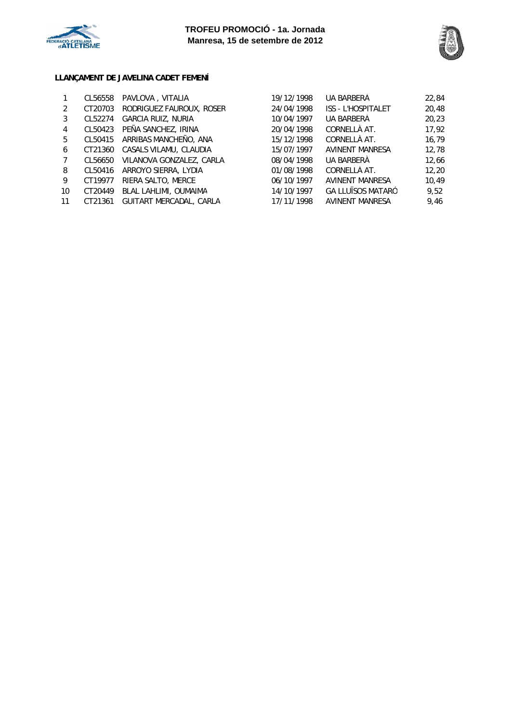



## **LLANÇAMENT DE JAVELINA CADET FEMENÍ**

|                | CL56558 | PAVLOVA, VITALIA          | 19/12/1998 | UA BARBERÀ                | 22,84 |
|----------------|---------|---------------------------|------------|---------------------------|-------|
| 2              | CT20703 | RODRIGUEZ FAUROUX, ROSER  | 24/04/1998 | <b>ISS - L'HOSPITALET</b> | 20,48 |
| 3              | CL52274 | <b>GARCIA RUIZ, NURIA</b> | 10/04/1997 | UA BARBERÀ                | 20,23 |
| 4              | CL50423 | PEÑA SANCHEZ, IRINA       | 20/04/1998 | CORNELLÀ AT.              | 17,92 |
| 5              | CL50415 | ARRIBAS MANCHEÑO, ANA     | 15/12/1998 | CORNELLÀ AT.              | 16,79 |
| 6              | CT21360 | CASALS VILAMU, CLAUDIA    | 15/07/1997 | AVINENT MANRESA           | 12,78 |
| $\overline{7}$ | CL56650 | VILANOVA GONZALEZ, CARLA  | 08/04/1998 | UA BARBERÀ                | 12.66 |
| 8              | CL50416 | ARROYO SIERRA, LYDIA      | 01/08/1998 | CORNELLÀ AT.              | 12.20 |
| 9              | CT19977 | RIERA SALTO, MERCE        | 06/10/1997 | AVINENT MANRESA           | 10.49 |
| 10             | CT20449 | BLAL LAHLIMI, OUMAIMA     | 14/10/1997 | <b>GA LLUÏSOS MATARÓ</b>  | 9.52  |
| 11             | CT21361 | GUITART MERCADAL, CARLA   | 17/11/1998 | AVINENT MANRESA           | 9.46  |
|                |         |                           |            |                           |       |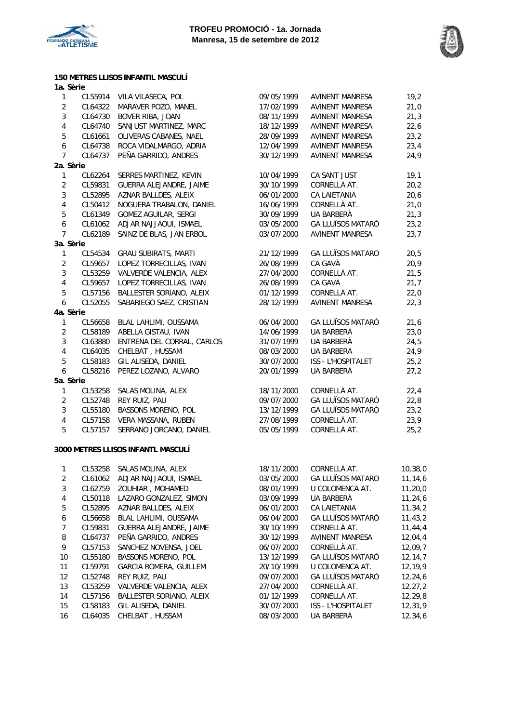



**150 METRES LLISOS INFANTIL MASCULÍ 1a. Sèrie**

| $\mathbf{1}$     | CL55914 | VILA VILASECA, POL                 | 09/05/1999 | <b>AVINENT MANRESA</b>   | 19,2      |
|------------------|---------|------------------------------------|------------|--------------------------|-----------|
| $\overline{2}$   | CL64322 | MARAVER POZO, MANEL                | 17/02/1999 | AVINENT MANRESA          | 21,0      |
| $\sqrt{3}$       | CL64730 | BOVER RIBA, JOAN                   | 08/11/1999 | <b>AVINENT MANRESA</b>   | 21,3      |
| $\overline{4}$   | CL64740 | SANJUST MARTINEZ, MARC             | 18/12/1999 | <b>AVINENT MANRESA</b>   | 22,6      |
| 5                | CL61661 | OLIVERAS CABANES, NAEL             | 28/09/1999 | AVINENT MANRESA          | 23,2      |
| $\boldsymbol{6}$ | CL64738 | ROCA VIDALMARGO, ADRIA             | 12/04/1999 | <b>AVINENT MANRESA</b>   | 23,4      |
| 7                | CL64737 | PEÑA GARRIDO, ANDRES               | 30/12/1999 | <b>AVINENT MANRESA</b>   | 24,9      |
| 2a. Sèrie        |         |                                    |            |                          |           |
| $\mathbf{1}$     | CL62264 | SERRES MARTINEZ, KEVIN             | 10/04/1999 | CA SANT JUST             | 19,1      |
| $\sqrt{2}$       | CL59831 | GUERRA ALEJANDRE, JAIME            | 30/10/1999 | CORNELLÀ AT.             | 20,2      |
| $\sqrt{3}$       | CL52895 | AZNAR BALLDES, ALEIX               | 06/01/2000 | CA LAIETANIA             | 20,6      |
| $\overline{4}$   | CL50412 | NOGUERA TRABALON, DANIEL           | 16/06/1999 | CORNELLÀ AT.             | 21,0      |
| $\sqrt{5}$       | CL61349 | GOMEZ AGUILAR, SERGI               | 30/09/1999 | UA BARBERÀ               | 21,3      |
| $\boldsymbol{6}$ | CL61062 | ADJAR NAJJAOUI, ISMAEL             | 03/05/2000 | <b>GA LLUÏSOS MATARÓ</b> | 23,2      |
| $\overline{7}$   | CL62189 | SAINZ DE BLAS, JAN ERBOL           | 03/07/2000 | <b>AVINENT MANRESA</b>   | 23,7      |
| 3a. Sèrie        |         |                                    |            |                          |           |
| $\mathbf{1}$     | CL54534 | <b>GRAU SUBIRATS, MARTI</b>        | 21/12/1999 | <b>GA LLUÏSOS MATARÓ</b> | 20,5      |
| $\overline{2}$   | CL59657 | LOPEZ TORRECILLAS, IVAN            | 26/08/1999 | CA GAVÀ                  | 20,9      |
| $\sqrt{3}$       | CL53259 | VALVERDE VALENCIA, ALEX            | 27/04/2000 | CORNELLÀ AT.             | 21,5      |
| $\overline{4}$   | CL59657 | LOPEZ TORRECILLAS, IVAN            | 26/08/1999 | CA GAVÀ                  | 21,7      |
| 5                | CL57156 | BALLESTER SORIANO, ALEIX           | 01/12/1999 | CORNELLÀ AT.             | 22,0      |
| 6                | CL52055 | SABARIEGO SAEZ, CRISTIAN           | 28/12/1999 | <b>AVINENT MANRESA</b>   | 22,3      |
| 4a. Sèrie        |         |                                    |            |                          |           |
| $\mathbf{1}$     | CL56658 | BLAL LAHLIMI, OUSSAMA              | 06/04/2000 | <b>GA LLUÏSOS MATARÓ</b> | 21,6      |
| $\overline{2}$   | CL58189 | ABELLA GISTAU, IVAN                | 14/06/1999 | UA BARBERÀ               | 23,0      |
| $\sqrt{3}$       | CL63880 | ENTRENA DEL CORRAL, CARLOS         | 31/07/1999 | UA BARBERÀ               | 24,5      |
| $\overline{4}$   | CL64035 | CHELBAT, HUSSAM                    | 08/03/2000 | UA BARBERÀ               | 24,9      |
| 5                | CL58183 | GIL ALISEDA, DANIEL                | 30/07/2000 | ISS - L'HOSPITALET       | 25,2      |
| $\boldsymbol{6}$ | CL58216 | PEREZ LOZANO, ALVARO               | 20/01/1999 | UA BARBERÀ               | 27,2      |
| 5a. Sèrie        |         |                                    |            |                          |           |
| $\mathbf{1}$     | CL53258 | SALAS MOLINA, ALEX                 | 18/11/2000 | CORNELLÀ AT.             | 22,4      |
| $\overline{2}$   | CL52748 | REY RUIZ, PAU                      | 09/07/2000 | <b>GA LLUÏSOS MATARÓ</b> | 22,8      |
| $\mathbf{3}$     | CL55180 | BASSONS MORENO, POL                | 13/12/1999 | <b>GA LLUÏSOS MATARÓ</b> | 23,2      |
| $\overline{4}$   | CL57158 | VERA MASSANA, RUBEN                | 27/08/1999 | CORNELLÀ AT.             | 23,9      |
| 5                | CL57157 | SERRANO JORCANO, DANIEL            | 05/05/1999 | CORNELLÀ AT.             | 25,2      |
|                  |         |                                    |            |                          |           |
|                  |         | 3000 METRES LLISOS INFANTL MASCULÍ |            |                          |           |
| $\mathbf{1}$     | CL53258 | SALAS MOLINA, ALEX                 | 18/11/2000 | CORNELLÀ AT.             | 10, 38, 0 |
| $\sqrt{2}$       | CL61062 | ADJAR NAJJAOUI, ISMAEL             | 03/05/2000 | <b>GA LLUÏSOS MATARÓ</b> | 11, 14, 6 |
| $\sqrt{3}$       | CL62759 | ZOUHIAR, MOHAMED                   | 08/01/1999 | U COLOMENCA AT.          | 11, 20, 0 |
| $\pmb{4}$        | CL50118 | LAZARO GONZALEZ, SIMON             | 03/09/1999 | UA BARBERÀ               | 11, 24, 6 |
| 5                | CL52895 | AZNAR BALLDES, ALEIX               | 06/01/2000 | CA LAIETANIA             | 11,34,2   |
| $\boldsymbol{6}$ | CL56658 | BLAL LAHLIMI, OUSSAMA              | 06/04/2000 | <b>GA LLUÏSOS MATARÓ</b> | 11, 43, 2 |
|                  |         |                                    |            |                          |           |

7 CL59831 GUERRA ALEJANDRE, JAIME 30/10/1999 CORNELLÀ AT. 11,44,4 8 CL64737 PEÑA GARRIDO, ANDRES 30/12/1999 AVINENT MANRESA 12,04,4 9 CL57153 SANCHEZ NOVENSA, JOEL 06/07/2000 CORNELLÀ AT. 12,09,7 10 CL55180 BASSONS MORENO, POL 13/12/1999 GA LLUÏSOS MATARÓ 12,14,7 11 CL59791 GARCIA ROMERA, GUILLEM 20/10/1999 U COLOMENCA AT. 12,19,9 12 CL52748 REY RUIZ, PAU 09/07/2000 GA LLUÏSOS MATARÓ 12,24,6 13 CL53259 VALVERDE VALENCIA, ALEX 27/04/2000 CORNELLÀ AT. 12,27,2 14 CL57156 BALLESTER SORIANO, ALEIX 01/12/1999 CORNELLÀ AT. 12,29,8 15 CL58183 GIL ALISEDA, DANIEL 30/07/2000 ISS - L'HOSPITALET 12,31,9 16 CL64035 CHELBAT , HUSSAM 08/03/2000 UA BARBERÀ 12,34,6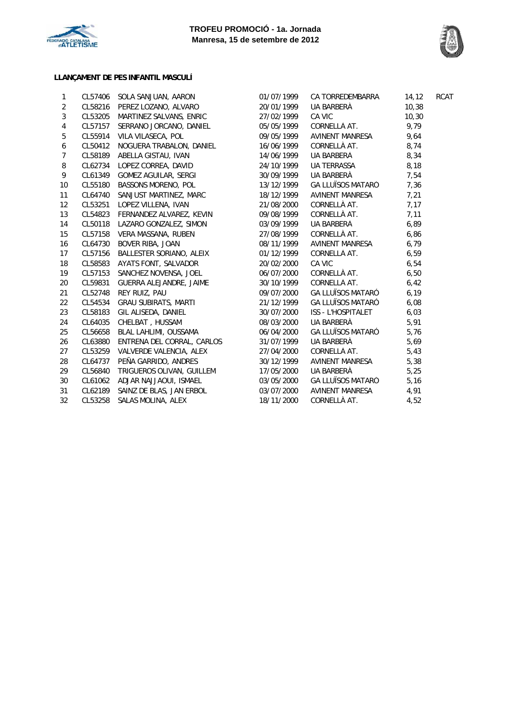



## **LLANÇAMENT DE PES INFANTIL MASCULÍ**

| 1              | CL57406 | SOLA SANJUAN, AARON             | 01/07/1999 | CA TORREDEMBARRA         | 14,12  | RCAT |
|----------------|---------|---------------------------------|------------|--------------------------|--------|------|
| 2              |         | CL58216 PEREZ LOZANO, ALVARO    | 20/01/1999 | UA BARBERÀ               | 10,38  |      |
| $\mathbf{3}$   |         | CL53205 MARTINEZ SALVANS, ENRIC | 27/02/1999 | CA VIC                   | 10, 30 |      |
| $\overline{4}$ | CL57157 | SERRANO JORCANO, DANIEL         | 05/05/1999 | CORNELLÀ AT.             | 9,79   |      |
| 5              | CL55914 | VILA VILASECA, POL              | 09/05/1999 | AVINENT MANRESA          | 9,64   |      |
| 6              | CL50412 | NOGUERA TRABALON, DANIEL        | 16/06/1999 | CORNELLÀ AT.             | 8,74   |      |
| $\overline{7}$ | CL58189 | ABELLA GISTAU, IVAN             | 14/06/1999 | UA BARBERÀ               | 8,34   |      |
| 8              |         | CL62734 LOPEZ CORREA, DAVID     | 24/10/1999 | UA TERRASSA              | 8,18   |      |
| 9              |         | CL61349 GOMEZ AGUILAR, SERGI    | 30/09/1999 | UA BARBERÀ               | 7,54   |      |
| 10             | CL55180 | BASSONS MORENO, POL             | 13/12/1999 | <b>GA LLUÏSOS MATARÓ</b> | 7,36   |      |
| 11             | CL64740 | SANJUST MARTINEZ, MARC          | 18/12/1999 | AVINENT MANRESA          | 7,21   |      |
| 12             | CL53251 | LOPEZ VILLENA, IVAN             | 21/08/2000 | CORNELLÀ AT.             | 7,17   |      |
| 13             | CL54823 | FERNANDEZ ALVAREZ, KEVIN        | 09/08/1999 | CORNELLÀ AT.             | 7,11   |      |
| 14             |         | CL50118 LAZARO GONZALEZ, SIMON  | 03/09/1999 | UA BARBERÀ               | 6,89   |      |
| 15             |         | CL57158 VERA MASSANA, RUBEN     | 27/08/1999 | CORNELLÀ AT.             | 6,86   |      |
| 16             | CL64730 | BOVER RIBA, JOAN                | 08/11/1999 | AVINENT MANRESA          | 6,79   |      |
| 17             | CL57156 | BALLESTER SORIANO, ALEIX        | 01/12/1999 | CORNELLÀ AT.             | 6,59   |      |
| 18             | CL58583 | AYATS FONT, SALVADOR            | 20/02/2000 | CA VIC                   | 6,54   |      |
| 19             | CL57153 | SANCHEZ NOVENSA, JOEL           | 06/07/2000 | CORNELLÀ AT.             | 6,50   |      |
| 20             | CL59831 | GUERRA ALEJANDRE, JAIME         | 30/10/1999 | CORNELLÀ AT.             | 6,42   |      |
| 21             |         | CL52748 REY RUIZ, PAU           | 09/07/2000 | ga lluïsos mataró        | 6, 19  |      |
| 22             | CL54534 | GRAU SUBIRATS, MARTI            | 21/12/1999 | ga lluïsos mataró        | 6,08   |      |
| 23             | CL58183 | GIL ALISEDA, DANIEL             | 30/07/2000 | ISS - L'HOSPITALET       | 6,03   |      |
| 24             | CL64035 | CHELBAT, HUSSAM                 | 08/03/2000 | UA BARBERÀ               | 5,91   |      |
| 25             | CL56658 | BLAL LAHLIMI, OUSSAMA           | 06/04/2000 | GA LLUÏSOS MATARÓ        | 5,76   |      |
| 26             | CL63880 | ENTRENA DEL CORRAL, CARLOS      | 31/07/1999 | UA BARBERÀ               | 5,69   |      |
| 27             |         | CL53259 VALVERDE VALENCIA, ALEX | 27/04/2000 | CORNELLÀ AT.             | 5,43   |      |
| 28             | CL64737 | PEÑA GARRIDO, ANDRES            | 30/12/1999 | AVINENT MANRESA          | 5,38   |      |
| 29             | CL56840 | TRIGUEROS OLIVAN, GUILLEM       | 17/05/2000 | UA BARBERÀ               | 5,25   |      |
| 30             |         | CL61062 ADJAR NAJJAOUI, ISMAEL  | 03/05/2000 | GA LLUÏSOS MATARÓ        | 5,16   |      |
| 31             | CL62189 | SAINZ DE BLAS, JAN ERBOL        | 03/07/2000 | AVINENT MANRESA          | 4,91   |      |
| 32             | CL53258 | SALAS MOLINA, ALEX              | 18/11/2000 | CORNELLÀ AT.             | 4,52   |      |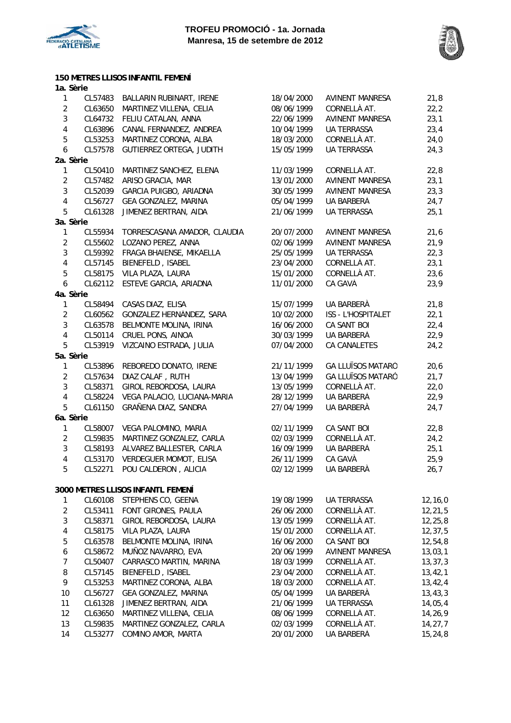

**150 METRES LLISOS INFANTIL FEMENÍ**



**1a. Sèrie** 1 CL57483 BALLARIN RUBINART, IRENE 18/04/2000 AVINENT MANRESA 21,8 2 CL63650 MARTINEZ VILLENA, CELIA 08/06/1999 CORNELLÀ AT. 22,2 3 CL64732 FELIU CATALAN, ANNA 22/06/1999 AVINENT MANRESA 23,1 4 CL63896 CANAL FERNANDEZ, ANDREA 10/04/1999 UA TERRASSA 23,4 5 CL53253 MARTINEZ CORONA, ALBA 18/03/2000 CORNELLÀ AT. 24,0 6 CL57578 GUTIERREZ ORTEGA, JUDITH 15/05/1999 UA TERRASSA 24,3 **2a. Sèrie** 1 CL50410 MARTINEZ SANCHEZ, ELENA 11/03/1999 CORNELLÀ AT. 22,8 2 CL57482 ARISO GRACIA, MAR 13/01/2000 AVINENT MANRESA 23,1 3 CL52039 GARCIA PUIGBO, ARIADNA 30/05/1999 AVINENT MANRESA 23,3 4 CL56727 GEA GONZALEZ, MARINA 05/04/1999 UA BARBERÀ 24,7 5 CL61328 JIMENEZ BERTRAN, AIDA 21/06/1999 UA TERRASSA 25,1 **3a. Sèrie** 1 CL55934 TORRESCASANA AMADOR, CLAUDIA 20/07/2000 AVINENT MANRESA 21,6 2 CL55602 LOZANO PEREZ, ANNA 02/06/1999 AVINENT MANRESA 21,9 3 CL59392 FRAGA BHAIENSE, MIKAELLA 25/05/1999 UA TERRASSA 22,3 4 CL57145 BIENEFELD , ISABEL 23/04/2000 CORNELLÀ AT. 23,1 5 CL58175 VILA PLAZA, LAURA 15/01/2000 CORNELLÀ AT. 23,6 6 CL62112 ESTEVE GARCIA, ARIADNA 11/01/2000 CA GAVÀ 23,9 **4a. Sèrie** 1 CL58494 CASAS DIAZ, ELISA 15/07/1999 UA BARBERÀ 21,8 2 CL60562 GONZALEZ HERNÁNDEZ, SARA 10/02/2000 ISS - L'HOSPITALET 22,1 3 CL63578 BELMONTE MOLINA, IRINA 16/06/2000 CA SANT BOI 22,4 4 CL50114 CRUEL PONS, AINOA 30/03/1999 UA BARBERÀ 22,9 5 CL53919 VIZCAINO ESTRADA, JULIA 07/04/2000 CA CANALETES 24,2 **5a. Sèrie** 1 CL53896 REBOREDO DONATO, IRENE 21/11/1999 GA LLUÏSOS MATARÓ 20,6 2 CL57634 DIAZ CALAF , RUTH 13/04/1999 GA LLUÏSOS MATARÓ 21,7 3 CL58371 GIROL REBORDOSA, LAURA 13/05/1999 CORNELLÀ AT. 22,0 4 CL58224 VEGA PALACIO, LUCIANA-MARIA 28/12/1999 UA BARBERÀ 22,9 5 CL61150 GRAÑENA DIAZ, SANDRA 27/04/1999 UA BARBERÀ 24,7 **6a. Sèrie** 1 CL58007 VEGA PALOMINO, MARIA 02/11/1999 CA SANT BOI 22,8 2 CL59835 MARTINEZ GONZALEZ, CARLA 02/03/1999 CORNELLÀ AT. 24,2 3 CL58193 ALVAREZ BALLESTER, CARLA 16/09/1999 UA BARBERÀ 25,1 4 CL53170 VERDEGUER MOMOT, ELISA 26/11/1999 CA GAVÀ 25,9 5 CL52271 POU CALDERON , ALICIA 02/12/1999 UA BARBERÀ 26,7 1 CL60108 STEPHENS CO, GEENA 19/08/1999 UA TERRASSA 12,16,0 2 CL53411 FONT GIRONES, PAULA 26/06/2000 CORNELLÀ AT. 12,21,5 3 CL58371 GIROL REBORDOSA, LAURA 13/05/1999 CORNELLÀ AT. 12,25,8 4 CL58175 VILA PLAZA, LAURA 15/01/2000 CORNELLÀ AT. 12,37,5<br>16/06/2000 CA SANT BOI 12,54,8 5 CL63578 BELMONTE MOLINA, IRINA 16/06/2000 CA SANT BOI 12,54,8 6 CL58672 MUÑOZ NAVARRO, EVA 20/06/1999 AVINENT MANRESA 13,03,1 7 CL50407 CARRASCO MARTIN, MARINA 18/03/1999 CORNELLÀ AT. 13,37,3 8 CL57145 BIENEFELD , ISABEL 23/04/2000 CORNELLÀ AT. 13.42.1 9 CL53253 MARTINEZ CORONA, ALBA 18/03/2000 CORNELLÀ AT. 13,42,4 10 CL56727 GEA GONZALEZ, MARINA 05/04/1999 UA BARBERÀ 13,43,3 11 CL61328 JIMENEZ BERTRAN, AIDA 21/06/1999 UA TERRASSA 14,05,4 **3000 METRES LLISOS INFANTL FEMENÍ**

14 CL53277 COMINO AMOR, MARTA 20/01/2000 UA BARBERÀ 15,24,8

12 CL63650 MARTINEZ VILLENA, CELIA 08/06/1999 CORNELLÀ AT. 14,26,9 13 CL59835 MARTINEZ GONZALEZ, CARLA 02/03/1999 CORNELLÀ AT. 14,27,7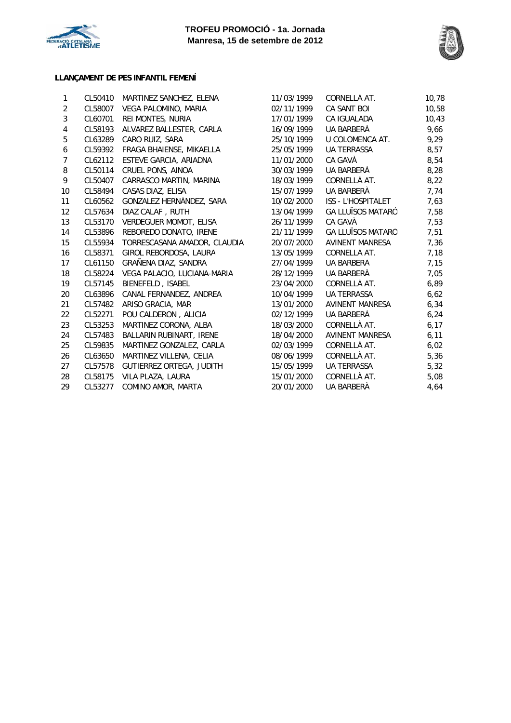



## **LLANÇAMENT DE PES INFANTIL FEMENÍ**

| 1              | CL50410 | MARTINEZ SANCHEZ, ELENA      | 11/03/1999 | CORNELLÀ AT.              | 10,78 |
|----------------|---------|------------------------------|------------|---------------------------|-------|
| $\overline{2}$ | CL58007 | VEGA PALOMINO, MARIA         | 02/11/1999 | CA SANT BOI               | 10,58 |
| 3              | CL60701 | REI MONTES, NURIA            | 17/01/1999 | CA IGUALADA               | 10,43 |
| 4              | CL58193 | ALVAREZ BALLESTER, CARLA     | 16/09/1999 | UA BARBERÀ                | 9,66  |
| 5              | CL63289 | CARO RUIZ, SARA              | 25/10/1999 | U COLOMENCA AT.           | 9,29  |
| 6              | CL59392 | FRAGA BHAIENSE, MIKAELLA     | 25/05/1999 | <b>UA TERRASSA</b>        | 8,57  |
| 7              | CL62112 | ESTEVE GARCIA, ARIADNA       | 11/01/2000 | CA GAVÀ                   | 8,54  |
| 8              | CL50114 | CRUEL PONS, AINOA            | 30/03/1999 | UA BARBERÀ                | 8,28  |
| 9              | CL50407 | CARRASCO MARTIN, MARINA      | 18/03/1999 | CORNELLÀ AT.              | 8,22  |
| 10             | CL58494 | CASAS DIAZ, ELISA            | 15/07/1999 | UA BARBERÀ                | 7,74  |
| 11             | CL60562 | GONZALEZ HERNÁNDEZ, SARA     | 10/02/2000 | <b>ISS - L'HOSPITALET</b> | 7,63  |
| 12             | CL57634 | DIAZ CALAF, RUTH             | 13/04/1999 | <b>GA LLUÏSOS MATARÓ</b>  | 7,58  |
| 13             | CL53170 | VERDEGUER MOMOT, ELISA       | 26/11/1999 | CA GAVÀ                   | 7,53  |
| 14             | CL53896 | REBOREDO DONATO, IRENE       | 21/11/1999 | <b>GA LLUÏSOS MATARÓ</b>  | 7,51  |
| 15             | CL55934 | TORRESCASANA AMADOR, CLAUDIA | 20/07/2000 | <b>AVINENT MANRESA</b>    | 7,36  |
| 16             | CL58371 | GIROL REBORDOSA, LAURA       | 13/05/1999 | CORNELLÀ AT.              | 7,18  |
| 17             | CL61150 | GRAÑENA DIAZ, SANDRA         | 27/04/1999 | UA BARBERÀ                | 7,15  |
| 18             | CL58224 | VEGA PALACIO, LUCIANA-MARIA  | 28/12/1999 | UA BARBERÀ                | 7,05  |
| 19             | CL57145 | BIENEFELD, ISABEL            | 23/04/2000 | CORNELLÀ AT.              | 6,89  |
| 20             | CL63896 | CANAL FERNANDEZ, ANDREA      | 10/04/1999 | <b>UA TERRASSA</b>        | 6,62  |
| 21             | CL57482 | ARISO GRACIA, MAR            | 13/01/2000 | <b>AVINENT MANRESA</b>    | 6, 34 |
| 22             | CL52271 | POU CALDERON, ALICIA         | 02/12/1999 | UA BARBERÀ                | 6,24  |
| 23             | CL53253 | MARTINEZ CORONA, ALBA        | 18/03/2000 | CORNELLÀ AT.              | 6,17  |
| 24             | CL57483 | BALLARIN RUBINART, IRENE     | 18/04/2000 | <b>AVINENT MANRESA</b>    | 6,11  |
| 25             | CL59835 | MARTINEZ GONZALEZ, CARLA     | 02/03/1999 | CORNELLÀ AT.              | 6,02  |
| 26             | CL63650 | MARTINEZ VILLENA, CELIA      | 08/06/1999 | CORNELLÀ AT.              | 5,36  |
| 27             | CL57578 | GUTIERREZ ORTEGA, JUDITH     | 15/05/1999 | <b>UA TERRASSA</b>        | 5,32  |
| 28             | CL58175 | VILA PLAZA, LAURA            | 15/01/2000 | CORNELLÀ AT.              | 5,08  |
| 29             | CL53277 | COMINO AMOR, MARTA           | 20/01/2000 | UA BARBERÀ                | 4,64  |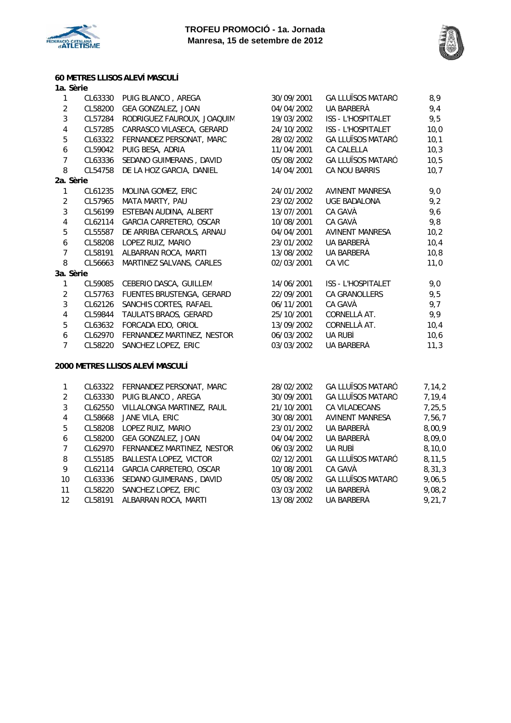



## **60 METRES LLISOS ALEVÍ MASCULÍ**

| 1a. Sèrie               |         |                            |            |                           |      |
|-------------------------|---------|----------------------------|------------|---------------------------|------|
| 1                       | CL63330 | PUIG BLANCO, AREGA         | 30/09/2001 | <b>GA LLUÏSOS MATARÓ</b>  | 8,9  |
| $\overline{2}$          | CL58200 | GEA GONZALEZ, JOAN         | 04/04/2002 | UA BARBERÀ                | 9,4  |
| 3                       | CL57284 | RODRIGUEZ FAUROUX, JOAQUIM | 19/03/2002 | <b>ISS - L'HOSPITALET</b> | 9,5  |
| $\pmb{4}$               | CL57285 | CARRASCO VILASECA, GERARD  | 24/10/2002 | <b>ISS - L'HOSPITALET</b> | 10,0 |
| 5                       | CL63322 | FERNANDEZ PERSONAT, MARC   | 28/02/2002 | <b>GA LLUÏSOS MATARÓ</b>  | 10,1 |
| $\boldsymbol{6}$        | CL59042 | PUIG BESA, ADRIA           | 11/04/2001 | <b>CA CALELLA</b>         | 10,3 |
| $\overline{7}$          | CL63336 | SEDANO GUIMERANS, DAVID    | 05/08/2002 | <b>GA LLUÏSOS MATARÓ</b>  | 10,5 |
| 8                       | CL54758 | DE LA HOZ GARCIA, DANIEL   | 14/04/2001 | <b>CA NOU BARRIS</b>      | 10,7 |
| 2a. Sèrie               |         |                            |            |                           |      |
| 1                       | CL61235 | MOLINA GOMEZ, ERIC         | 24/01/2002 | AVINENT MANRESA           | 9,0  |
| $\overline{2}$          | CL57965 | MATA MARTY, PAU            | 23/02/2002 | <b>UGE BADALONA</b>       | 9,2  |
| 3                       | CL56199 | ESTEBAN AUDINA, ALBERT     | 13/07/2001 | CA GAVÀ                   | 9,6  |
| $\overline{\mathbf{4}}$ | CL62114 | GARCIA CARRETERO, OSCAR    | 10/08/2001 | CA GAVÀ                   | 9,8  |
| $\mathbf 5$             | CL55587 | DE ARRIBA CERAROLS, ARNAU  | 04/04/2001 | AVINENT MANRESA           | 10,2 |
| $\boldsymbol{6}$        | CL58208 | LOPEZ RUIZ, MARIO          | 23/01/2002 | UA BARBERÀ                | 10,4 |
| $\overline{7}$          | CL58191 | ALBARRAN ROCA, MARTI       | 13/08/2002 | UA BARBERÀ                | 10,8 |
| 8                       | CL56663 | MARTINEZ SALVANS, CARLES   | 02/03/2001 | CA VIC                    | 11,0 |
| 3a. Sèrie               |         |                            |            |                           |      |
| 1                       | CL59085 | CEBERIO DASCA, GUILLEM     | 14/06/2001 | <b>ISS - L'HOSPITALET</b> | 9,0  |
| $\overline{2}$          | CL57763 | FUENTES BRUSTENGA, GERARD  | 22/09/2001 | <b>CA GRANOLLERS</b>      | 9,5  |
| 3                       | CL62126 | SANCHIS CORTES, RAFAEL     | 06/11/2001 | CA GAVÀ                   | 9,7  |
| 4                       | CL59844 | TAULATS BRAOS, GERARD      | 25/10/2001 | CORNELLÀ AT.              | 9,9  |
| 5                       | CL63632 | FORCADA EDO, ORIOL         | 13/09/2002 | CORNELLÀ AT.              | 10,4 |
| 6                       | CL62970 | FERNANDEZ MARTINEZ, NESTOR | 06/03/2002 | UA RUBÍ                   | 10,6 |
| $\overline{7}$          | CL58220 | SANCHEZ LOPEZ, ERIC        | 03/03/2002 | UA BARBERÀ                | 11,3 |
|                         |         |                            |            |                           |      |
|                         |         |                            |            |                           |      |

#### **2000 METRES LLISOS ALEVÍ MASCULÍ**

|    |         | CL63322 FERNANDEZ PERSONAT, MARC | 28/02/2002 | <b>GA LLUÏSOS MATARÓ</b> | 7,14,2 |
|----|---------|----------------------------------|------------|--------------------------|--------|
| 2  | CL63330 | PUIG BLANCO, AREGA               | 30/09/2001 | <b>GA LLUÏSOS MATARÓ</b> | 7,19,4 |
| 3  | CL62550 | VILLALONGA MARTINEZ, RAUL        | 21/10/2001 | CA VILADECANS            | 7,25,5 |
| 4  | CL58668 | JANE VILA, ERIC                  | 30/08/2001 | AVINENT MANRESA          | 7,56,7 |
| 5  | CL58208 | LOPEZ RUIZ, MARIO                | 23/01/2002 | UA BARBERÀ               | 8,00,9 |
| 6  | CL58200 | GEA GONZALEZ, JOAN               | 04/04/2002 | UA BARBERÀ               | 8,09,0 |
| 7  | CL62970 | FERNANDEZ MARTINEZ, NESTOR       | 06/03/2002 | UA RUBÍ                  | 8,10,0 |
| 8  | CL55185 | BALLESTA LOPEZ, VICTOR           | 02/12/2001 | <b>GA LLUÏSOS MATARÓ</b> | 8.11.5 |
| 9  | CL62114 | GARCIA CARRETERO, OSCAR          | 10/08/2001 | CA GAVÀ                  | 8,31,3 |
| 10 | CL63336 | SEDANO GUIMERANS, DAVID          | 05/08/2002 | <b>GA LLUÏSOS MATARÓ</b> | 9,06,5 |
| 11 | CL58220 | SANCHEZ LOPEZ, ERIC              | 03/03/2002 | UA BARBERÀ               | 9,08,2 |
| 12 | CL58191 | ALBARRAN ROCA, MARTI             | 13/08/2002 | UA BARBERÀ               | 9,21,7 |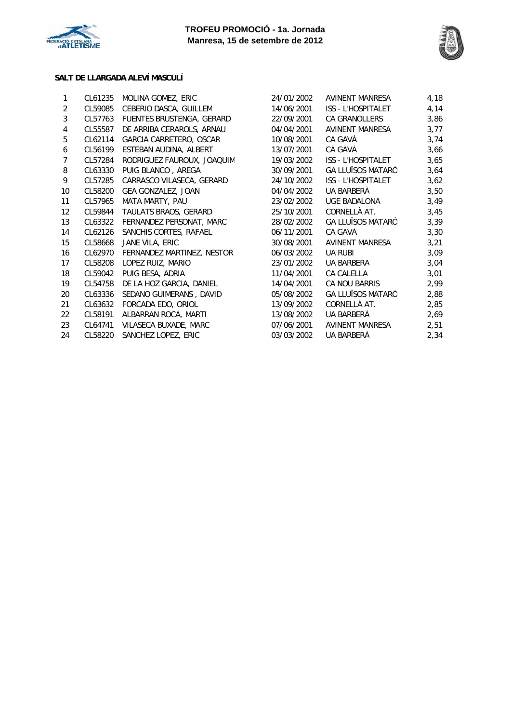



#### **SALT DE LLARGADA ALEVÍ MASCULÍ**

| 1                 | CL61235 | MOLINA GOMEZ, ERIC         | 24/01/2002 | AVINENT MANRESA           | 4,18 |
|-------------------|---------|----------------------------|------------|---------------------------|------|
| $\overline{2}$    | CL59085 | CEBERIO DASCA, GUILLEM     | 14/06/2001 | ISS - L'HOSPITALET        | 4,14 |
| 3                 | CL57763 | FUENTES BRUSTENGA, GERARD  | 22/09/2001 | <b>CA GRANOLLERS</b>      | 3,86 |
| 4                 | CL55587 | DE ARRIBA CERAROLS, ARNAU  | 04/04/2001 | AVINENT MANRESA           | 3,77 |
| 5                 | CL62114 | GARCIA CARRETERO, OSCAR    | 10/08/2001 | CA GAVÀ                   | 3,74 |
| 6                 | CL56199 | ESTEBAN AUDINA, ALBERT     | 13/07/2001 | CA GAVÀ                   | 3,66 |
| 7                 | CL57284 | RODRIGUEZ FAUROUX, JOAQUIM | 19/03/2002 | <b>ISS - L'HOSPITALET</b> | 3,65 |
| 8                 | CL63330 | PUIG BLANCO, AREGA         | 30/09/2001 | <b>GA LLUÏSOS MATARÓ</b>  | 3,64 |
| 9                 | CL57285 | CARRASCO VILASECA, GERARD  | 24/10/2002 | <b>ISS - L'HOSPITALET</b> | 3,62 |
| 10                | CL58200 | GEA GONZALEZ, JOAN         | 04/04/2002 | UA BARBERÀ                | 3,50 |
| 11                | CL57965 | MATA MARTY, PAU            | 23/02/2002 | <b>UGE BADALONA</b>       | 3,49 |
| $12 \overline{ }$ | CL59844 | TAULATS BRAOS, GERARD      | 25/10/2001 | CORNELLÀ AT.              | 3,45 |
| 13                | CL63322 | FERNANDEZ PERSONAT, MARC   | 28/02/2002 | <b>GA LLUÏSOS MATARÓ</b>  | 3,39 |
| 14                | CL62126 | SANCHIS CORTES, RAFAEL     | 06/11/2001 | CA GAVÀ                   | 3,30 |
| 15                | CL58668 | JANE VILA, ERIC            | 30/08/2001 | AVINENT MANRESA           | 3,21 |
| 16                | CL62970 | FERNANDEZ MARTINEZ, NESTOR | 06/03/2002 | UA RUBÍ                   | 3,09 |
| 17                | CL58208 | LOPEZ RUIZ, MARIO          | 23/01/2002 | UA BARBERÀ                | 3,04 |
| 18                | CL59042 | PUIG BESA, ADRIA           | 11/04/2001 | <b>CA CALELLA</b>         | 3,01 |
| 19                | CL54758 | DE LA HOZ GARCIA, DANIEL   | 14/04/2001 | CA NOU BARRIS             | 2,99 |
| 20                | CL63336 | SEDANO GUIMERANS, DAVID    | 05/08/2002 | <b>GA LLUÏSOS MATARÓ</b>  | 2,88 |
| 21                | CL63632 | FORCADA EDO, ORIOL         | 13/09/2002 | CORNELLÀ AT.              | 2,85 |
| 22                | CL58191 | ALBARRAN ROCA, MARTI       | 13/08/2002 | UA BARBERÀ                | 2,69 |
| 23                | CL64741 | VILASECA BUXADE, MARC      | 07/06/2001 | AVINENT MANRESA           | 2,51 |
| 24                | CL58220 | SANCHEZ LOPEZ, ERIC        | 03/03/2002 | UA BARBERÀ                | 2,34 |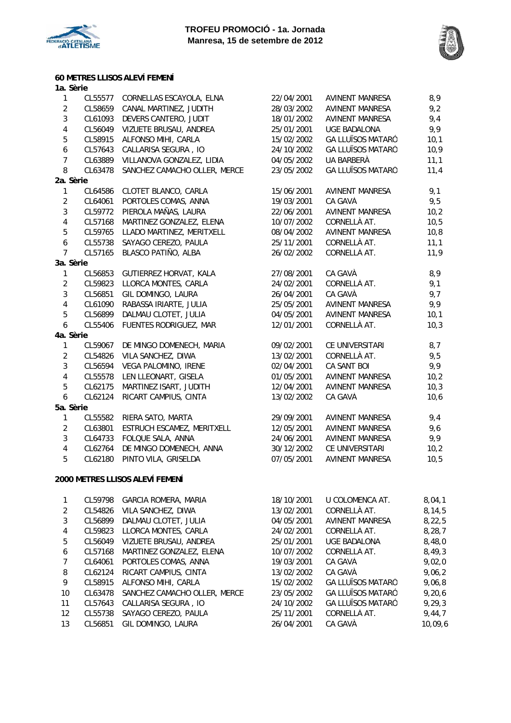



### **60 METRES LLISOS ALEVÍ FEMENÍ**

| 1a. Sèrie               |         |                                 |            |                          |        |
|-------------------------|---------|---------------------------------|------------|--------------------------|--------|
| $\mathbf{1}$            | CL55577 | CORNELLAS ESCAYOLA, ELNA        | 22/04/2001 | AVINENT MANRESA          | 8,9    |
| $\overline{2}$          | CL58659 | CANAL MARTINEZ, JUDITH          | 28/03/2002 | AVINENT MANRESA          | 9,2    |
| $\mathbf{3}$            | CL61093 | DEVERS CANTERO, JUDIT           | 18/01/2002 | AVINENT MANRESA          | 9,4    |
| $\overline{\mathbf{4}}$ | CL56049 | VIZUETE BRUSAU, ANDREA          | 25/01/2001 | <b>UGE BADALONA</b>      | 9,9    |
| 5                       | CL58915 | ALFONSO MIHI, CARLA             | 15/02/2002 | <b>GA LLUÏSOS MATARÓ</b> | 10,1   |
| $\boldsymbol{6}$        | CL57643 | CALLARISA SEGURA, IO            | 24/10/2002 | <b>GA LLUÏSOS MATARÓ</b> | 10,9   |
| $\overline{7}$          | CL63889 | VILLANOVA GONZALEZ, LIDIA       | 04/05/2002 | UA BARBERÀ               | 11,1   |
| 8                       | CL63478 | SANCHEZ CAMACHO OLLER, MERCE    | 23/05/2002 | <b>GA LLUÏSOS MATARÓ</b> | 11,4   |
| 2a. Sèrie               |         |                                 |            |                          |        |
| $\mathbf{1}$            | CL64586 | CLOTET BLANCO, CARLA            | 15/06/2001 | <b>AVINENT MANRESA</b>   | 9,1    |
| $\overline{2}$          | CL64061 | PORTOLES COMAS, ANNA            | 19/03/2001 | CA GAVÀ                  | 9,5    |
| $\mathbf{3}$            | CL59772 | PIEROLA MAÑAS, LAURA            | 22/06/2001 | <b>AVINENT MANRESA</b>   | 10,2   |
| $\overline{4}$          | CL57168 | MARTINEZ GONZALEZ, ELENA        | 10/07/2002 | CORNELLÀ AT.             | 10,5   |
| 5                       | CL59765 | LLADO MARTINEZ, MERITXELL       | 08/04/2002 | AVINENT MANRESA          | 10,8   |
| $\boldsymbol{6}$        | CL55738 | SAYAGO CEREZO, PAULA            | 25/11/2001 | CORNELLÀ AT.             | 11,1   |
| $\overline{7}$          | CL57165 | BLASCO PATIÑO, ALBA             | 26/02/2002 | CORNELLÀ AT.             | 11,9   |
| 3a. Sèrie               |         |                                 |            |                          |        |
| $\mathbf{1}$            | CL56853 | GUTIERREZ HORVAT, KALA          | 27/08/2001 | CA GAVÀ                  | 8,9    |
| $\overline{2}$          | CL59823 | LLORCA MONTES, CARLA            | 24/02/2001 | CORNELLÀ AT.             | 9,1    |
| $\mathbf{3}$            | CL56851 | GIL DOMINGO, LAURA              | 26/04/2001 | CA GAVÀ                  | 9,7    |
| $\overline{\mathbf{4}}$ | CL61090 | RABASSA IRIARTE, JULIA          | 25/05/2001 | <b>AVINENT MANRESA</b>   | 9,9    |
| 5                       | CL56899 | DALMAU CLOTET, JULIA            | 04/05/2001 | <b>AVINENT MANRESA</b>   | 10,1   |
| $\boldsymbol{6}$        | CL55406 | FUENTES RODRIGUEZ, MAR          | 12/01/2001 | CORNELLÀ AT.             | 10,3   |
| 4a. Sèrie               |         |                                 |            |                          |        |
| $\mathbf{1}$            | CL59067 | DE MINGO DOMENECH, MARIA        | 09/02/2001 | CE UNIVERSITARI          | 8,7    |
| $\overline{2}$          | CL54826 | VILA SANCHEZ, DIWA              | 13/02/2001 | CORNELLÀ AT.             | 9,5    |
| $\mathbf{3}$            | CL56594 | VEGA PALOMINO, IRENE            | 02/04/2001 | CA SANT BOI              | 9,9    |
| $\overline{\mathbf{4}}$ | CL55578 | LEN LLEONART, GISELA            | 01/05/2001 | AVINENT MANRESA          | 10,2   |
| 5                       | CL62175 | MARTINEZ ISART, JUDITH          | 12/04/2001 | AVINENT MANRESA          | 10,3   |
| 6                       | CL62124 | RICART CAMPIUS, CINTA           | 13/02/2002 | CA GAVÀ                  | 10,6   |
| 5a. Sèrie               |         |                                 |            |                          |        |
| $\mathbf{1}$            | CL55582 | RIERA SATO, MARTA               | 29/09/2001 | AVINENT MANRESA          | 9,4    |
| $\overline{2}$          | CL63801 | ESTRUCH ESCAMEZ, MERITXELL      | 12/05/2001 | AVINENT MANRESA          | 9,6    |
| $\mathbf{3}$            | CL64733 | FOLQUE SALA, ANNA               | 24/06/2001 | AVINENT MANRESA          | 9,9    |
| $\overline{\mathbf{4}}$ | CL62764 | DE MINGO DOMENECH, ANNA         | 30/12/2002 | CE UNIVERSITARI          | 10,2   |
| 5                       | CL62180 | PINTO VILA, GRISELDA            | 07/05/2001 | <b>AVINENT MANRESA</b>   | 10,5   |
|                         |         | 2000 METRES LLISOS ALEVÍ FEMENÍ |            |                          |        |
| $\mathbf{1}$            | CL59798 | GARCIA ROMERA, MARIA            | 18/10/2001 | U COLOMENCA AT.          | 8,04,1 |

|             |         | <b>ULU / I / U UNIVUA KUMLIM, MARIA</b> | 1971972001 | <u>U UULUMLINUM ATI.</u> | <b>U, UT, I</b> |
|-------------|---------|-----------------------------------------|------------|--------------------------|-----------------|
| 2           | CL54826 | VILA SANCHEZ, DIWA                      | 13/02/2001 | CORNELLÀ AT.             | 8, 14, 5        |
| 3           | CL56899 | DALMAU CLOTET, JULIA                    | 04/05/2001 | <b>AVINENT MANRESA</b>   | 8,22,5          |
| 4           | CL59823 | LLORCA MONTES, CARLA                    | 24/02/2001 | CORNELLÀ AT.             | 8, 28, 7        |
| 5           | CL56049 | VIZUETE BRUSAU, ANDREA                  | 25/01/2001 | UGE BADALONA             | 8,48,0          |
| 6           | CL57168 | MARTINEZ GONZALEZ, ELENA                | 10/07/2002 | CORNELLÀ AT.             | 8,49,3          |
| $7^{\circ}$ | CL64061 | PORTOLES COMAS, ANNA                    | 19/03/2001 | CA GAVÀ                  | 9,02,0          |
| 8           | CL62124 | RICART CAMPIUS, CINTA                   | 13/02/2002 | CA GAVÀ                  | 9,06,2          |
| 9           | CL58915 | ALFONSO MIHI, CARLA                     | 15/02/2002 | <b>GA LLUÏSOS MATARÓ</b> | 9,06,8          |
| 10          | CL63478 | SANCHEZ CAMACHO OLLER, MERCE            | 23/05/2002 | <b>GA LLUÏSOS MATARÓ</b> | 9,20,6          |
| 11          | CL57643 | CALLARISA SEGURA, IO                    | 24/10/2002 | <b>GA LLUÏSOS MATARÓ</b> | 9,29,3          |
| 12          | CL55738 | SAYAGO CEREZO, PAULA                    | 25/11/2001 | CORNELLÀ AT.             | 9,44,7          |
| 13          | CL56851 | GIL DOMINGO, LAURA                      | 26/04/2001 | CA GAVÀ                  | 10,09,6         |
|             |         |                                         |            |                          |                 |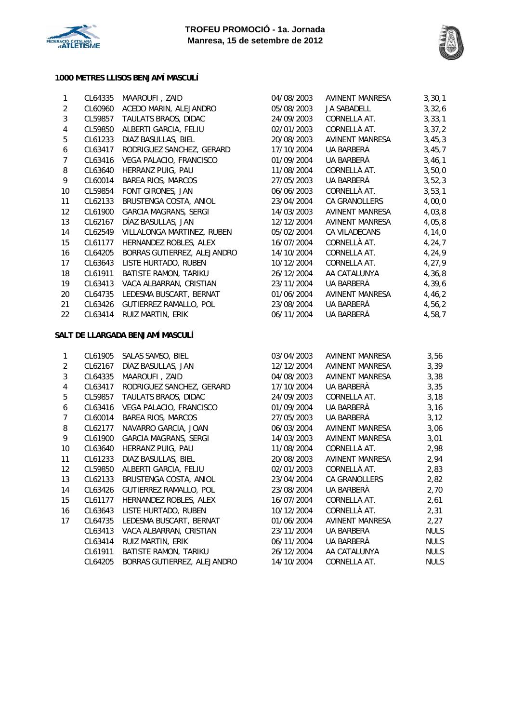



#### **1000 METRES LLISOS BENJAMÍ MASCULÍ**

| 1                       | CL64335 | MAAROUFI, ZAID                   | 04/08/2003 | <b>AVINENT MANRESA</b> | 3, 30, 1    |
|-------------------------|---------|----------------------------------|------------|------------------------|-------------|
| $\overline{2}$          | CL60960 | ACEDO MARIN, ALEJANDRO           | 05/08/2003 | JA SABADELL            | 3,32,6      |
| $\sqrt{3}$              | CL59857 | TAULATS BRAOS, DIDAC             | 24/09/2003 | CORNELLÀ AT.           | 3, 33, 1    |
| $\pmb{4}$               | CL59850 | ALBERTI GARCIA, FELIU            | 02/01/2003 | CORNELLÀ AT.           | 3, 37, 2    |
| $\sqrt{5}$              | CL61233 | DIAZ BASULLAS, BIEL              | 20/08/2003 | <b>AVINENT MANRESA</b> | 3,45,3      |
| $\boldsymbol{6}$        | CL63417 | RODRIGUEZ SANCHEZ, GERARD        | 17/10/2004 | UA BARBERÀ             | 3,45,7      |
| $\boldsymbol{7}$        | CL63416 | VEGA PALACIO, FRANCISCO          | 01/09/2004 | UA BARBERÀ             | 3,46,1      |
| 8                       | CL63640 | HERRANZ PUIG, PAU                | 11/08/2004 | CORNELLÀ AT.           | 3,50,0      |
| 9                       | CL60014 | <b>BAREA RIOS, MARCOS</b>        | 27/05/2003 | UA BARBERÀ             | 3,52,3      |
| $10$                    | CL59854 | FONT GIRONES, JAN                | 06/06/2003 | CORNELLÀ AT.           | 3, 53, 1    |
| 11                      | CL62133 | BRUSTENGA COSTA, ANIOL           | 23/04/2004 | CA GRANOLLERS          | 4,00,0      |
| 12                      | CL61900 | <b>GARCIA MAGRANS, SERGI</b>     | 14/03/2003 | <b>AVINENT MANRESA</b> | 4,03,8      |
| 13                      | CL62167 | DÍAZ BASULLAS, JAN               | 12/12/2004 | <b>AVINENT MANRESA</b> | 4,05,8      |
| 14                      | CL62549 | VILLALONGA MARTINEZ, RUBEN       | 05/02/2004 | CA VILADECANS          | 4,14,0      |
| 15                      | CL61177 | HERNANDEZ ROBLES, ALEX           | 16/07/2004 | CORNELLÀ AT.           | 4,24,7      |
| 16                      | CL64205 | BORRAS GUTIERREZ, ALEJANDRO      | 14/10/2004 | CORNELLÀ AT.           | 4,24,9      |
| 17                      | CL63643 | LISTE HURTADO, RUBEN             | 10/12/2004 | CORNELLÀ AT.           | 4,27,9      |
| 18                      | CL61911 | BATISTE RAMON, TARIKU            | 26/12/2004 | AA CATALUNYA           | 4,36,8      |
| 19                      | CL63413 | VACA ALBARRAN, CRISTIAN          | 23/11/2004 | UA BARBERÀ             | 4,39,6      |
| 20                      | CL64735 | LEDESMA BUSCART, BERNAT          | 01/06/2004 | AVINENT MANRESA        | 4,46,2      |
| 21                      | CL63426 | GUTIERREZ RAMALLO, POL           | 23/08/2004 | UA BARBERÀ             | 4,56,2      |
| 22                      | CL63414 | RUIZ MARTIN, ERIK                | 06/11/2004 | UA BARBERÀ             | 4,58,7      |
|                         |         | SALT DE LLARGADA BENJAMÍ MASCULÍ |            |                        |             |
| $\mathbf{1}$            | CL61905 | SALAS SAMSO, BIEL                | 03/04/2003 | AVINENT MANRESA        | 3,56        |
| $\sqrt{2}$              | CL62167 | DÍAZ BASULLAS, JAN               | 12/12/2004 | AVINENT MANRESA        | 3,39        |
| $\sqrt{3}$              | CL64335 | MAAROUFI, ZAID                   | 04/08/2003 | AVINENT MANRESA        | 3,38        |
| $\overline{\mathbf{4}}$ | CL63417 | RODRIGUEZ SANCHEZ, GERARD        | 17/10/2004 | UA BARBERÀ             | 3,35        |
| $\sqrt{5}$              | CL59857 | TAULATS BRAOS, DIDAC             | 24/09/2003 | CORNELLÀ AT.           | 3,18        |
| $\boldsymbol{6}$        | CL63416 | VEGA PALACIO, FRANCISCO          | 01/09/2004 | UA BARBERÀ             | 3,16        |
| $\boldsymbol{7}$        | CL60014 | <b>BAREA RIOS, MARCOS</b>        | 27/05/2003 | UA BARBERÀ             | 3,12        |
| $\, 8$                  | CL62177 | NAVARRO GARCIA, JOAN             | 06/03/2004 | AVINENT MANRESA        | 3,06        |
| 9                       | CL61900 | <b>GARCIA MAGRANS, SERGI</b>     | 14/03/2003 | AVINENT MANRESA        | 3,01        |
| $10$                    | CL63640 | HERRANZ PUIG, PAU                | 11/08/2004 | CORNELLÀ AT.           | 2,98        |
| 11                      | CL61233 | DIAZ BASULLAS, BIEL              | 20/08/2003 | <b>AVINENT MANRESA</b> | 2,94        |
| 12                      | CL59850 | ALBERTI GARCIA, FELIU            | 02/01/2003 | CORNELLÀ AT.           | 2,83        |
| 13                      | CL62133 | BRUSTENGA COSTA, ANIOL           | 23/04/2004 | CA GRANOLLERS          | 2,82        |
| 14                      | CL63426 | GUTIERREZ RAMALLO, POL           | 23/08/2004 | UA BARBERÀ             | 2,70        |
| 15                      | CL61177 | HERNANDEZ ROBLES, ALEX           | 16/07/2004 | CORNELLÀ AT.           | 2,61        |
| 16                      | CL63643 | LISTE HURTADO, RUBEN             | 10/12/2004 | CORNELLÀ AT.           | 2,31        |
| 17                      | CL64735 | LEDESMA BUSCART, BERNAT          | 01/06/2004 | <b>AVINENT MANRESA</b> | 2,27        |
|                         | CL63413 | VACA ALBARRAN, CRISTIAN          | 23/11/2004 | UA BARBERÀ             | NULS        |
|                         | CL63414 | RUIZ MARTIN, ERIK                | 06/11/2004 | UA BARBERÀ             | <b>NULS</b> |
|                         | CL61911 | BATISTE RAMON, TARIKU            | 26/12/2004 | AA CATALUNYA           | <b>NULS</b> |
|                         | CL64205 | BORRAS GUTIERREZ, ALEJANDRO      | 14/10/2004 | CORNELLÀ AT.           | <b>NULS</b> |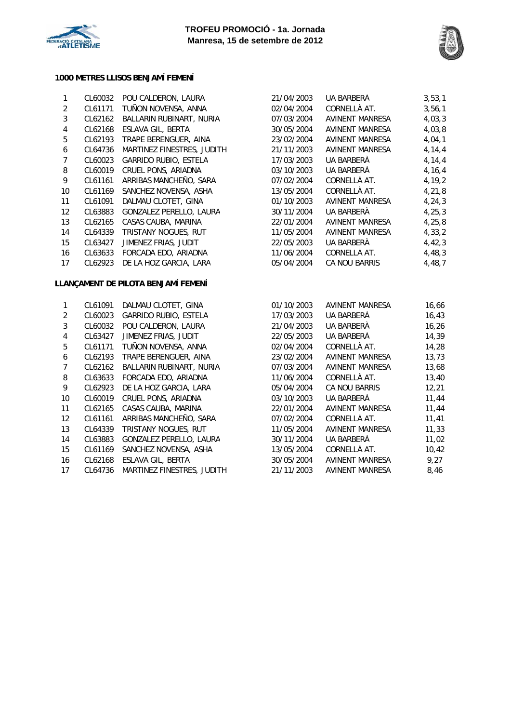



#### **1000 METRES LLISOS BENJAMÍ FEMENÍ**

| $\mathbf{1}$    | CL60032    | POU CALDERON, LAURA                 | 21/04/2003                 | UA BARBERÀ             | 3, 53, 1 |  |
|-----------------|------------|-------------------------------------|----------------------------|------------------------|----------|--|
| 2               | CL61171    | TUÑON NOVENSA, ANNA                 | CORNELLÀ AT.<br>02/04/2004 |                        |          |  |
| 3               | CL62162    | BALLARIN RUBINART, NURIA            | 07/03/2004                 | <b>AVINENT MANRESA</b> | 4,03,3   |  |
| 4               | CL62168    | ESLAVA GIL, BERTA                   | 30/05/2004                 | AVINENT MANRESA        | 4,03,8   |  |
| 5               | CL62193    | TRAPE BERENGUER, AINA               | 23/02/2004                 | <b>AVINENT MANRESA</b> | 4,04,1   |  |
| 6               | CL64736    | MARTINEZ FINESTRES, JUDITH          | 21/11/2003                 | <b>AVINENT MANRESA</b> | 4, 14, 4 |  |
| $\overline{7}$  | CL60023    | <b>GARRIDO RUBIO, ESTELA</b>        | 17/03/2003                 | UA BARBERÀ             | 4, 14, 4 |  |
| 8               | CL60019    | CRUEL PONS, ARIADNA                 | 03/10/2003                 | UA BARBERÀ             | 4, 16, 4 |  |
| 9               | CL61161    | ARRIBAS MANCHEÑO, SARA              | 07/02/2004                 | CORNELLÀ AT.           | 4, 19, 2 |  |
| 10 <sup>1</sup> | CL61169    | SANCHEZ NOVENSA, ASHA               | 13/05/2004                 | CORNELLÀ AT.           | 4, 21, 8 |  |
| 11              | CL61091    | DALMAU CLOTET, GINA                 | 01/10/2003                 | AVINENT MANRESA        | 4, 24, 3 |  |
| 12              | CL63883    | GONZALEZ PERELLO, LAURA             | 30/11/2004                 | UA BARBERÀ             | 4, 25, 3 |  |
| 13              | CL62165    | CASAS CAUBA, MARINA                 | 22/01/2004                 | AVINENT MANRESA        | 4, 25, 8 |  |
| 14              | CL64339    | TRISTANY NOGUES, RUT                | 11/05/2004                 | <b>AVINENT MANRESA</b> | 4, 33, 2 |  |
| 15              | CL63427    | JIMENEZ FRIAS, JUDIT                | 22/05/2003                 | UA BARBERÀ             | 4,42,3   |  |
| 16              | CL63633    | FORCADA EDO, ARIADNA                | 11/06/2004                 | CORNELLÀ AT.           | 4,48,3   |  |
| 17              | CL62923    | DE LA HOZ GARCIA, LARA              | 05/04/2004                 | CA NOU BARRIS          | 4,48,7   |  |
|                 |            | LLANÇAMENT DE PILOTA BENJAMÍ FEMENÍ |                            |                        |          |  |
| $\mathbf{1}$    | CL61091    | DALMAU CLOTET, GINA                 | 01/10/2003                 | AVINENT MANRESA        | 16,66    |  |
|                 | CL RUUS LJ | GARRIDO RURIO ESTELA                | 17/03/2003                 | <b>HA RAPREDÀ</b>      | 16.13    |  |

|                   | <b>0201071</b> | DALIVIAU CLUTET, UIIVA       | <u>UITIUTZUUJ</u> | AVIINLIN I IVIAININLUA | 1 U , U U |
|-------------------|----------------|------------------------------|-------------------|------------------------|-----------|
| 2                 | CL60023        | <b>GARRIDO RUBIO, ESTELA</b> | 17/03/2003        | UA BARBERÀ             | 16,43     |
| 3                 | CL60032        | POU CALDERON, LAURA          | 21/04/2003        | UA BARBERÀ             | 16,26     |
| 4                 | CL63427        | JIMENEZ FRIAS, JUDIT         | 22/05/2003        | UA BARBERÀ             | 14,39     |
| 5                 | CL61171        | TUÑON NOVENSA, ANNA          | 02/04/2004        | CORNELLÀ AT.           | 14,28     |
| 6                 | CL62193        | TRAPE BERENGUER, AINA        | 23/02/2004        | <b>AVINENT MANRESA</b> | 13,73     |
| 7                 | CL62162        | BALLARIN RUBINART, NURIA     | 07/03/2004        | <b>AVINENT MANRESA</b> | 13,68     |
| 8                 | CL63633        | FORCADA EDO, ARIADNA         | 11/06/2004        | CORNELLÀ AT.           | 13,40     |
| 9                 | CL62923        | DE LA HOZ GARCIA, LARA       | 05/04/2004        | CA NOU BARRIS          | 12,21     |
| 10                | CL60019        | CRUEL PONS, ARIADNA          | 03/10/2003        | UA BARBERÀ             | 11,44     |
| 11                | CL62165        | CASAS CAUBA, MARINA          | 22/01/2004        | <b>AVINENT MANRESA</b> | 11,44     |
| $12 \overline{ }$ | CL61161        | ARRIBAS MANCHEÑO, SARA       | 07/02/2004        | CORNELLÀ AT.           | 11,41     |
| 13                | CL64339        | TRISTANY NOGUES, RUT         | 11/05/2004        | <b>AVINENT MANRESA</b> | 11,33     |
| 14                | CL63883        | GONZALEZ PERELLO, LAURA      | 30/11/2004        | UA BARBERÀ             | 11,02     |
| 15                | CL61169        | SANCHEZ NOVENSA, ASHA        | 13/05/2004        | CORNELLÀ AT.           | 10,42     |
| 16                | CL62168        | ESLAVA GIL, BERTA            | 30/05/2004        | <b>AVINENT MANRESA</b> | 9,27      |
| 17                | CL64736        | MARTINEZ FINESTRES, JUDITH   | 21/11/2003        | AVINENT MANRESA        | 8,46      |
|                   |                |                              |                   |                        |           |